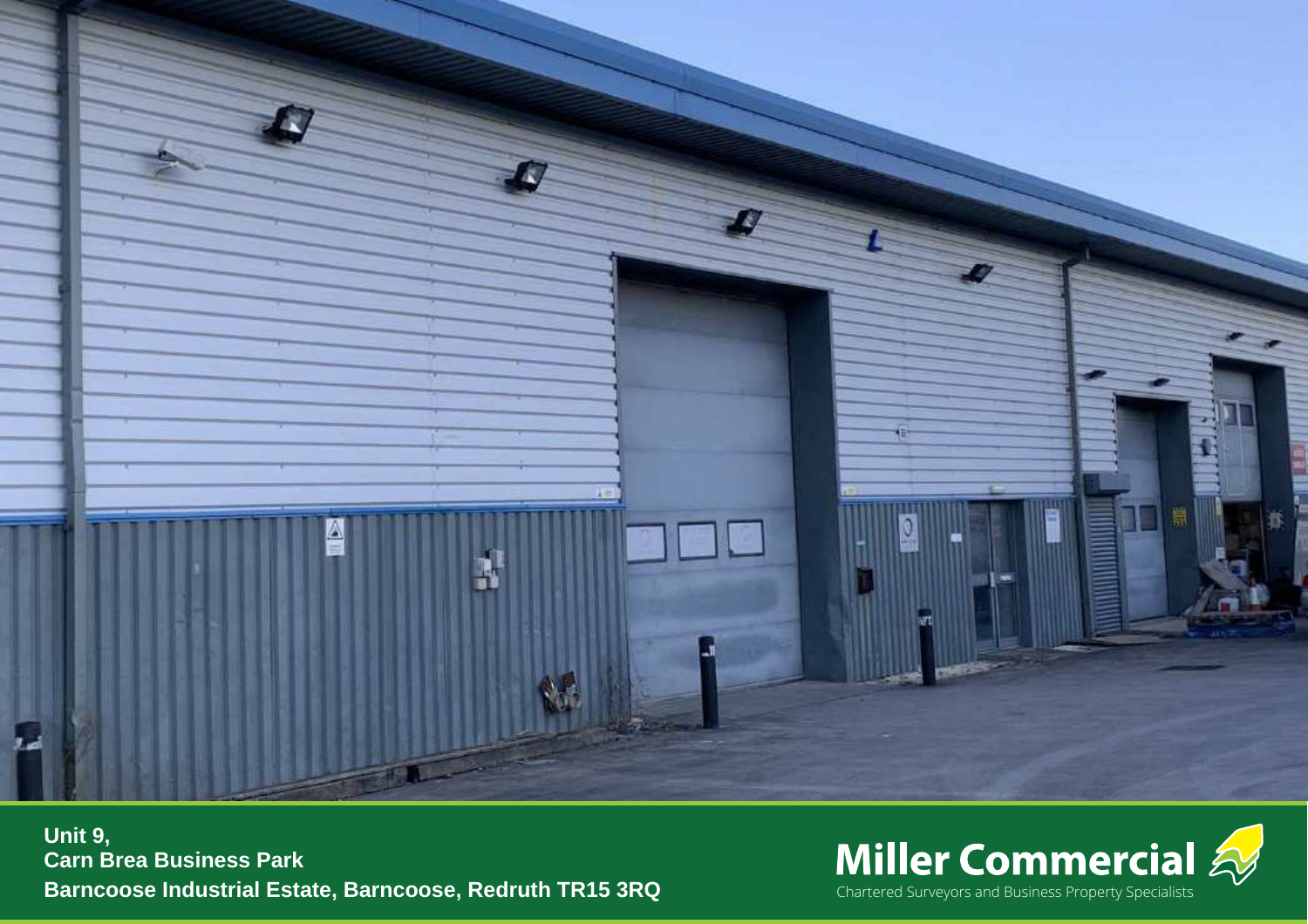

**Unit 9, Carn Brea Business Park Barncoose Industrial Estate, Barncoose, Redruth TR15 3RQ**

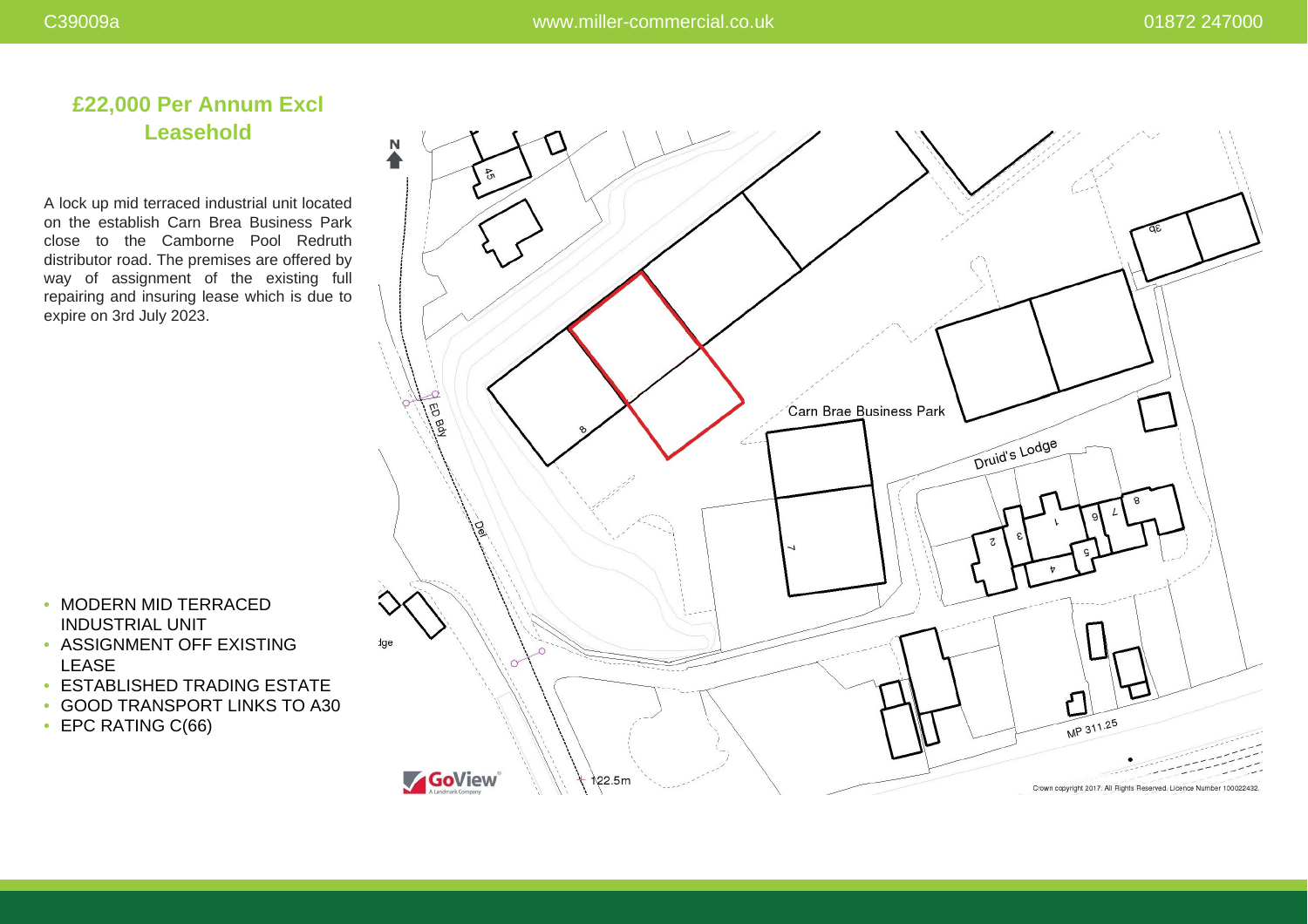# **£22,000 Per Annum Excl Leasehold**

A lock up mid terraced industrial unit located on the establish Carn Brea Business Park close to the Camborne Pool Redruth distributor road. The premises are offered by way of assignment of the existing full repairing and insuring lease which is due to expire on 3rd July 2023.

- MODERN MID TERRACED INDUSTRIAL UNIT
- ASSIGNMENT OFF EXISTING LEASE
- ESTABLISHED TRADING ESTATE
- GOOD TRANSPORT LINKS TO A30
- EPC RATING C(66)

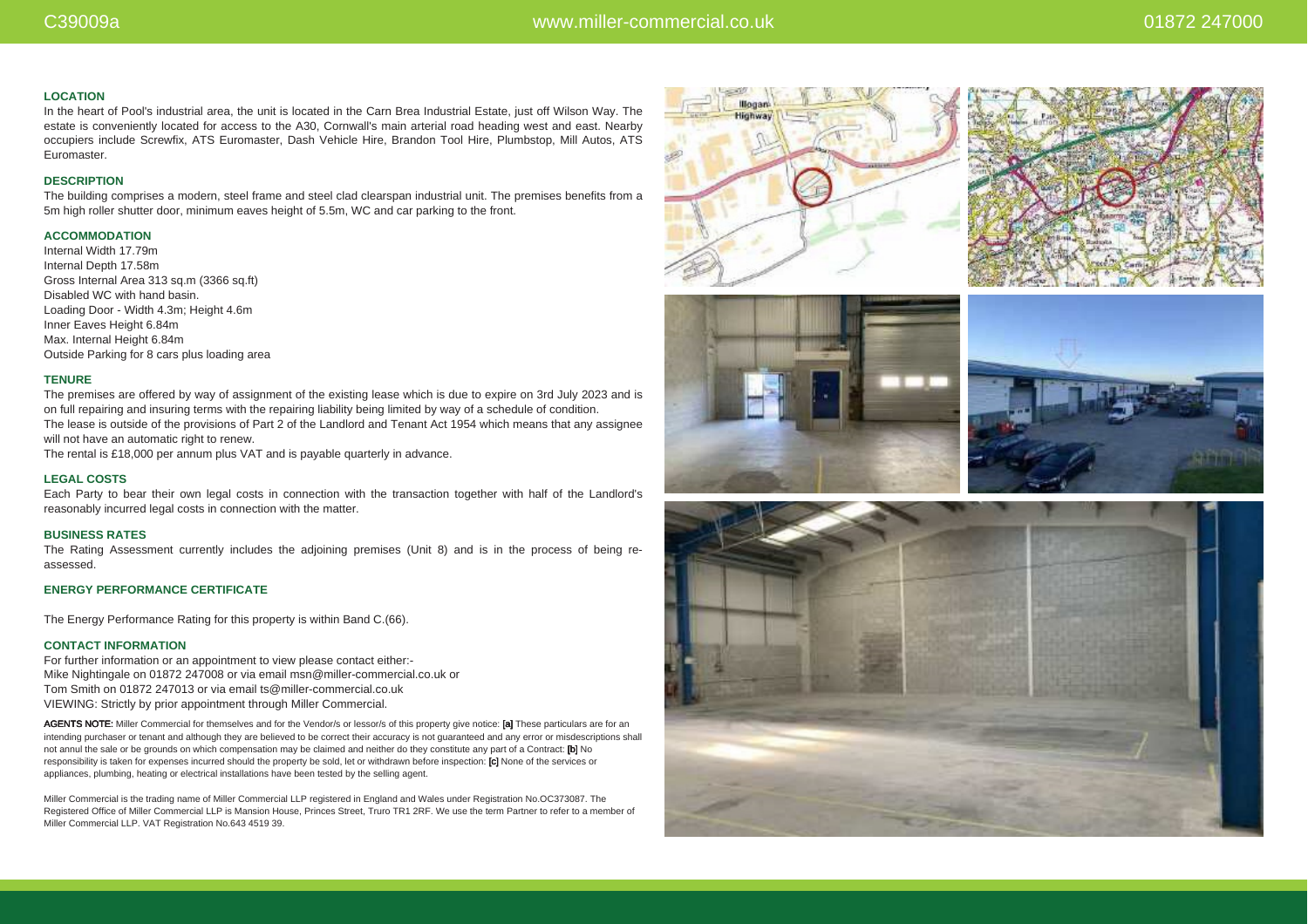#### **LOCATION**

In the heart of Pool's industrial area, the unit is located in the Carn Brea Industrial Estate, just off Wilson Way. The estate is conveniently located for access to the A30, Cornwall's main arterial road heading west and east. Nearby occupiers include Screwfix, ATS Euromaster, Dash Vehicle Hire, Brandon Tool Hire, Plumbstop, Mill Autos, ATS Euromaster.

#### **DESCRIPTION**

The building comprises a modern, steel frame and steel clad clearspan industrial unit. The premises benefits from a 5m high roller shutter door, minimum eaves height of 5.5m, WC and car parking to the front.

## **ACCOMMODATION**

Internal Width 17.79m Internal Depth 17.58m Gross Internal Area 313 sq.m (3366 sq.ft) Disabled WC with hand basin. Loading Door - Width 4.3m; Height 4.6m Inner Eaves Height 6.84m Max. Internal Height 6.84m Outside Parking for 8 cars plus loading area

# **TENURE**

The premises are offered by way of assignment of the existing lease which is due to expire on 3rd July 2023 and is on full repairing and insuring terms with the repairing liability being limited by way of a schedule of condition. The lease is outside of the provisions of Part 2 of the Landlord and Tenant Act 1954 which means that any assignee will not have an automatic right to renew.

The rental is £18,000 per annum plus VAT and is payable quarterly in advance.

## **LEGAL COSTS**

Each Party to bear their own legal costs in connection with the transaction together with half of the Landlord's reasonably incurred legal costs in connection with the matter.

## **BUSINESS RATES**

The Rating Assessment currently includes the adjoining premises (Unit 8) and is in the process of being reassessed.

## **ENERGY PERFORMANCE CERTIFICATE**

The Energy Performance Rating for this property is within Band C.(66).

# **CONTACT INFORMATION**

For further information or an appointment to view please contact either:- Mike Nightingale on 01872 247008 or via email msn@miller-commercial.co.uk or Tom Smith on 01872 247013 or via email ts@miller-commercial.co.uk VIEWING: Strictly by prior appointment through Miller Commercial.

AGENTS NOTE: Miller Commercial for themselves and for the Vendor/s or lessor/s of this property give notice: [a] These particulars are for an intending purchaser or tenant and although they are believed to be correct their accuracy is not guaranteed and any error or misdescriptions shall not annul the sale or be grounds on which compensation may be claimed and neither do they constitute any part of a Contract: [b] No responsibility is taken for expenses incurred should the property be sold, let or withdrawn before inspection: [c] None of the services or appliances, plumbing, heating or electrical installations have been tested by the selling agent.

Miller Commercial is the trading name of Miller Commercial LLP registered in England and Wales under Registration No.OC373087. The Registered Office of Miller Commercial LLP is Mansion House, Princes Street, Truro TR1 2RF. We use the term Partner to refer to a member of Miller Commercial LLP. VAT Registration No.643 4519 39.